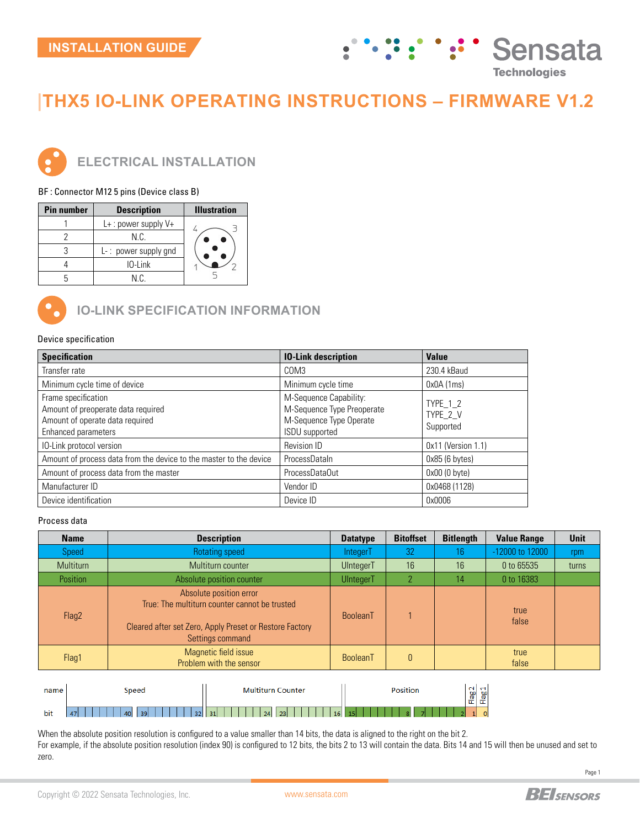## **Sensata**  $\frac{1}{2}$ **Technologies**

# **|THX5 IO-LINK OPERATING INSTRUCTIONS – FIRMWARE V1.2**



**ELECTRICAL INSTALLATION**

BF : Connector M12 5 pins (Device class B)

| <b>Pin number</b> | <b>Description</b>      | <b>Illustration</b> |
|-------------------|-------------------------|---------------------|
|                   | L+: power supply V+     |                     |
|                   | N C                     |                     |
|                   | $L-$ : power supply gnd |                     |
|                   | $10$ -Link              |                     |
|                   | N C.                    |                     |



**IO-LINK SPECIFICATION INFORMATION** 

#### Device specification

| <b>Specification</b>                                                                                                | <b>10-Link description</b>                                                                               | <b>Value</b>                      |
|---------------------------------------------------------------------------------------------------------------------|----------------------------------------------------------------------------------------------------------|-----------------------------------|
| Transfer rate                                                                                                       | COM3                                                                                                     | 230.4 kBaud                       |
| Minimum cycle time of device                                                                                        | Minimum cycle time                                                                                       | 0x0A(1ms)                         |
| Frame specification<br>Amount of preoperate data required<br>Amount of operate data required<br>Enhanced parameters | M-Sequence Capability:<br>M-Sequence Type Preoperate<br>M-Sequence Type Operate<br><b>ISDU</b> supported | TYPE_1_2<br>TYPE_2_V<br>Supported |
| IO-Link protocol version                                                                                            | Revision ID                                                                                              | $0x11$ (Version 1.1)              |
| Amount of process data from the device to the master to the device                                                  | ProcessDataIn                                                                                            | $0x85$ (6 bytes)                  |
| Amount of process data from the master                                                                              | ProcessDataOut                                                                                           | $0x00(0$ byte)                    |
| Manufacturer ID                                                                                                     | Vendor ID                                                                                                | 0x0468 (1128)                     |
| Device identification                                                                                               | Device ID                                                                                                | 0x0006                            |

### Process data

| <b>Name</b> | <b>Description</b>                                                                                                                                      | <b>Datatype</b>  | <b>Bitoffset</b> | <b>Bitlength</b> | <b>Value Range</b> | <b>Unit</b> |
|-------------|---------------------------------------------------------------------------------------------------------------------------------------------------------|------------------|------------------|------------------|--------------------|-------------|
| Speed       | Rotating speed                                                                                                                                          | IntegerT         | 32               | 16               | -12000 to 12000    | rpm         |
| Multiturn   | Multiturn counter                                                                                                                                       | UIntegerT        | 16               | 16               | 0 to 65535         | turns       |
| Position    | Absolute position counter                                                                                                                               | <b>UIntegerT</b> | $\overline{2}$   | 14               | 0 to 16383         |             |
| Flag2       | Absolute position error<br>True: The multiturn counter cannot be trusted<br>Cleared after set Zero, Apply Preset or Restore Factory<br>Settings command | BooleanT         |                  |                  | true<br>false      |             |
| Flag1       | Magnetic field issue<br>Problem with the sensor                                                                                                         | BooleanT         | $\theta$         |                  | true<br>false      |             |
|             |                                                                                                                                                         |                  |                  |                  |                    |             |

| name                | -<br>Speed                                     | Multiturn<br>∴ounter | Position             |              | မ္မ |
|---------------------|------------------------------------------------|----------------------|----------------------|--------------|-----|
| $\mathbf{r}$<br>bit | 39<br>32 <sub>1</sub><br>$\overline{17}$<br>40 | 24<br>31<br>23<br>16 | 15 <sub>1</sub><br>- | 正<br>ட<br>11 | u   |

When the absolute position resolution is configured to a value smaller than 14 bits, the data is aligned to the right on the bit 2. For example, if the absolute position resolution (index 90) is configured to 12 bits, the bits 2 to 13 will contain the data. Bits 14 and 15 will then be unused and set to zero.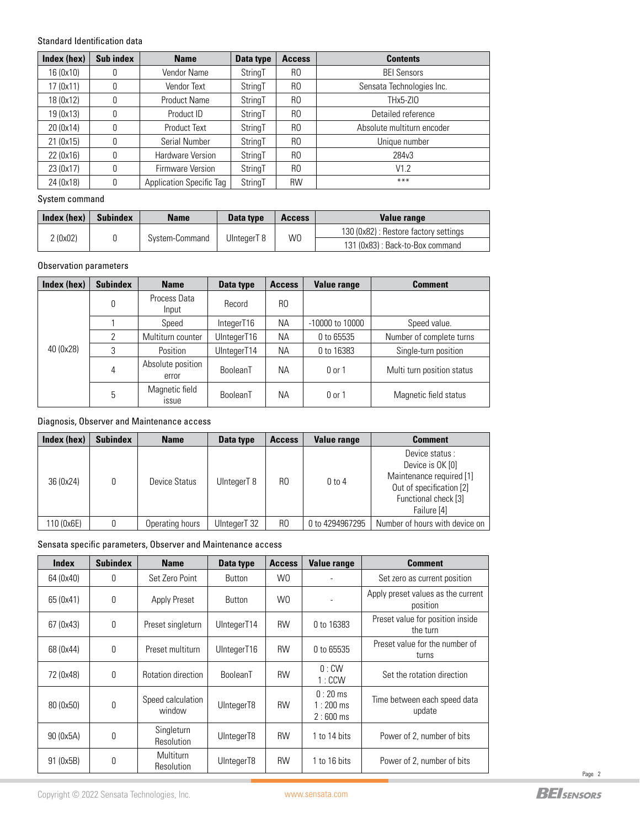#### Standard Identification data

| Index (hex) | Sub index | <b>Name</b>                     | Data type | <b>Access</b>  | <b>Contents</b>            |
|-------------|-----------|---------------------------------|-----------|----------------|----------------------------|
| 16 (0x10)   | 0         | Vendor Name                     | StringT   | R <sub>0</sub> | <b>BEI Sensors</b>         |
| 17 (0x11)   | 0         | Vendor Text                     | StringT   | R <sub>0</sub> | Sensata Technologies Inc.  |
| 18 (0x12)   | 0         | <b>Product Name</b>             | StringT   | R <sub>0</sub> | THx5-ZIO                   |
| 19 (0x13)   | 0         | Product ID                      | StringT   | R <sub>0</sub> | Detailed reference         |
| 20 (0x14)   | 0         | <b>Product Text</b>             | StringT   | R <sub>0</sub> | Absolute multiturn encoder |
| 21 (0x15)   | 0         | Serial Number                   | StringT   | R <sub>0</sub> | Unique number              |
| 22 (0x16)   | 0         | Hardware Version                | StringT   | R <sub>0</sub> | 284v3                      |
| 23 (0x17)   | 0         | Firmware Version                | StringT   | R <sub>0</sub> | V1.2                       |
| 24 (0x18)   | 0         | <b>Application Specific Tag</b> | StringT   | <b>RW</b>      | ***                        |

#### System command

| Index (hex) | <b>Subindex</b>                                | <b>Name</b> | Data type                             | <b>Access</b> | Value range |
|-------------|------------------------------------------------|-------------|---------------------------------------|---------------|-------------|
|             | W0<br>2(0x02)<br>UInteaerT 8<br>System-Command |             | 130 (0x82) : Restore factory settings |               |             |
|             |                                                |             | 131 (0x83) : Back-to-Box command      |               |             |

## Observation parameters

| Index (hex) | <b>Subindex</b> | <b>Name</b>                    | Data type   | <b>Access</b>  | <b>Value range</b>  | <b>Comment</b>             |
|-------------|-----------------|--------------------------------|-------------|----------------|---------------------|----------------------------|
|             | 0               | Process Data<br>Input          | Record      | R <sub>0</sub> |                     |                            |
|             |                 | Speed                          | IntegerT16  | <b>NA</b>      | $-10000$ to $10000$ | Speed value.               |
|             | 2               | Multiturn counter              | UIntegerT16 | <b>NA</b>      | 0 to 65535          | Number of complete turns   |
| 40 (0x28)   | 3               | Position                       | UIntegerT14 | <b>NA</b>      | 0 to 16383          | Single-turn position       |
|             | 4               | Absolute position<br>error     | BooleanT    | <b>NA</b>      | $0$ or 1            | Multi turn position status |
|             | 5               | Magnetic field<br><b>ISSUE</b> | BooleanT    | ΝA             | $0$ or 1            | Magnetic field status      |

## Diagnosis, Observer and Maintenance access

| Index (hex) | <b>Subindex</b> | <b>Name</b>     | Data type    | <b>Access</b>  | <b>Value range</b> | <b>Comment</b>                                                                                                                    |
|-------------|-----------------|-----------------|--------------|----------------|--------------------|-----------------------------------------------------------------------------------------------------------------------------------|
| 36 (0x24)   | 0               | Device Status   | UIntegerT 8  | R <sub>0</sub> | $0$ to $4$         | Device status:<br>Device is OK [0]<br>Maintenance required [1]<br>Out of specification [2]<br>Functional check [3]<br>Failure [4] |
| 110 (0x6E)  | 0               | Operating hours | UIntegerT 32 | R <sub>0</sub> | 0 to 4294967295    | Number of hours with device on                                                                                                    |

Sensata specific parameters, Observer and Maintenance access

| <b>Index</b> | <b>Subindex</b> | <b>Name</b>                    | <b>Data type</b> | <b>Access</b>  | <b>Value range</b>                    | <b>Comment</b>                                 |
|--------------|-----------------|--------------------------------|------------------|----------------|---------------------------------------|------------------------------------------------|
| 64 (0x40)    | 0               | Set Zero Point                 | Button           | W <sub>0</sub> | $\overline{a}$                        | Set zero as current position                   |
| 65 (0x41)    | 0               | Apply Preset                   | <b>Button</b>    | W <sub>0</sub> |                                       | Apply preset values as the current<br>position |
| 67 (0x43)    | 0               | Preset singleturn              | UIntegerT14      | <b>RW</b>      | 0 to 16383                            | Preset value for position inside<br>the turn   |
| 68 (0x44)    | 0               | Preset multiturn               | UIntegerT16      | <b>RW</b>      | 0 to 65535                            | Preset value for the number of<br>turns        |
| 72 (0x48)    | 0               | Rotation direction             | BooleanT         | <b>RW</b>      | $0:$ CW<br>1:CCW                      | Set the rotation direction                     |
| 80 (0x50)    | 0               | Speed calculation<br>window    | UIntegerT8       | <b>RW</b>      | $0:20$ ms<br>$1:200$ ms<br>$2:600$ ms | Time between each speed data<br>update         |
| 90 (0x5A)    | 0               | Singleturn<br>Resolution       | UIntegerT8       | <b>RW</b>      | 1 to 14 bits                          | Power of 2, number of bits                     |
| 91 (0x5B)    | 0               | Multiturn<br><b>Resolution</b> | UIntegerT8       | <b>RW</b>      | $1$ to 16 bits                        | Power of 2, number of bits                     |